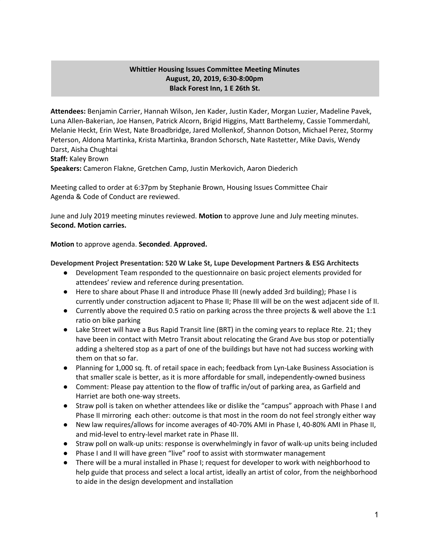## **Whittier Housing Issues Committee Meeting Minutes August, 20, 2019, 6:30-8:00pm Black Forest Inn, 1 E 26th St.**

**Attendees:** Benjamin Carrier, Hannah Wilson, Jen Kader, Justin Kader, Morgan Luzier, Madeline Pavek, Luna Allen-Bakerian, Joe Hansen, Patrick Alcorn, Brigid Higgins, Matt Barthelemy, Cassie Tommerdahl, Melanie Heckt, Erin West, Nate Broadbridge, Jared Mollenkof, Shannon Dotson, Michael Perez, Stormy Peterson, Aldona Martinka, Krista Martinka, Brandon Schorsch, Nate Rastetter, Mike Davis, Wendy Darst, Aisha Chughtai **Staff:** Kaley Brown

**Speakers:** Cameron Flakne, Gretchen Camp, Justin Merkovich, Aaron Diederich

Meeting called to order at 6:37pm by Stephanie Brown, Housing Issues Committee Chair Agenda & Code of Conduct are reviewed.

June and July 2019 meeting minutes reviewed. **Motion** to approve June and July meeting minutes. **Second. Motion carries.**

**Motion** to approve agenda. **Seconded**. **Approved.**

## **Development Project Presentation: 520 W Lake St, Lupe Development Partners & ESG Architects**

- Development Team responded to the questionnaire on basic project elements provided for attendees' review and reference during presentation.
- Here to share about Phase II and introduce Phase III (newly added 3rd building); Phase I is currently under construction adjacent to Phase II; Phase III will be on the west adjacent side of II.
- Currently above the required 0.5 ratio on parking across the three projects & well above the 1:1 ratio on bike parking
- Lake Street will have a Bus Rapid Transit line (BRT) in the coming years to replace Rte. 21; they have been in contact with Metro Transit about relocating the Grand Ave bus stop or potentially adding a sheltered stop as a part of one of the buildings but have not had success working with them on that so far.
- Planning for 1,000 sq. ft. of retail space in each; feedback from Lyn-Lake Business Association is that smaller scale is better, as it is more affordable for small, independently-owned business
- Comment: Please pay attention to the flow of traffic in/out of parking area, as Garfield and Harriet are both one-way streets.
- Straw poll is taken on whether attendees like or dislike the "campus" approach with Phase I and Phase II mirroring each other: outcome is that most in the room do not feel strongly either way
- New law requires/allows for income averages of 40-70% AMI in Phase I, 40-80% AMI in Phase II, and mid-level to entry-level market rate in Phase III.
- Straw poll on walk-up units: response is overwhelmingly in favor of walk-up units being included
- Phase I and II will have green "live" roof to assist with stormwater management
- There will be a mural installed in Phase I; request for developer to work with neighborhood to help guide that process and select a local artist, ideally an artist of color, from the neighborhood to aide in the design development and installation